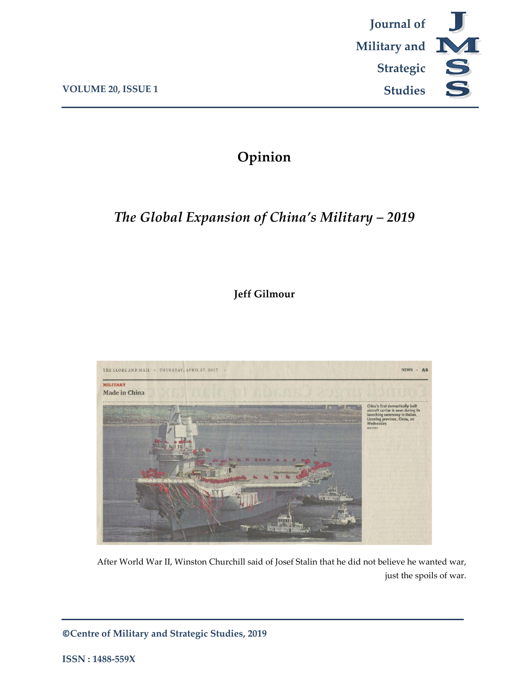

## **Opinion**

# *The Global Expansion of China's Military – 2019*

## **Jeff Gilmour**



After World War II, Winston Churchill said of Josef Stalin that he did not believe he wanted war, just the spoils of war.

**©Centre of Military and Strategic Studies, 2019**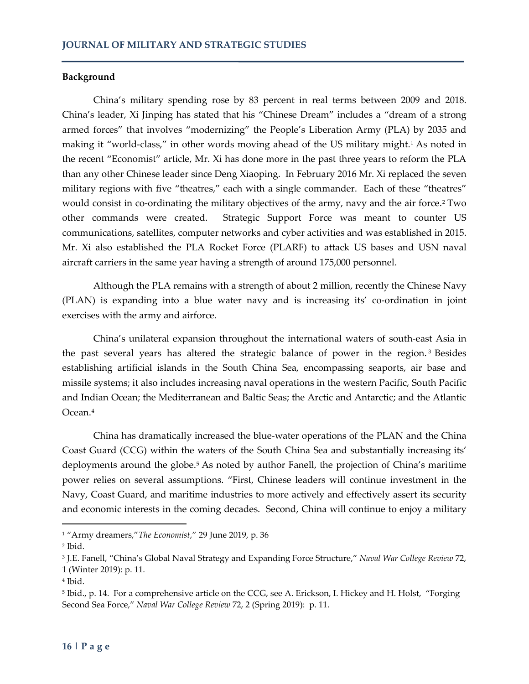#### **Background**

China's military spending rose by 83 percent in real terms between 2009 and 2018. China's leader, Xi Jinping has stated that his "Chinese Dream" includes a "dream of a strong armed forces" that involves "modernizing" the People's Liberation Army (PLA) by 2035 and making it "world-class," in other words moving ahead of the US military might.<sup>1</sup> As noted in the recent "Economist" article, Mr. Xi has done more in the past three years to reform the PLA than any other Chinese leader since Deng Xiaoping. In February 2016 Mr. Xi replaced the seven military regions with five "theatres," each with a single commander. Each of these "theatres" would consist in co-ordinating the military objectives of the army, navy and the air force.<sup>[2](#page-1-1)</sup> Two other commands were created. Strategic Support Force was meant to counter US communications, satellites, computer networks and cyber activities and was established in 2015. Mr. Xi also established the PLA Rocket Force (PLARF) to attack US bases and USN naval aircraft carriers in the same year having a strength of around 175,000 personnel.

Although the PLA remains with a strength of about 2 million, recently the Chinese Navy (PLAN) is expanding into a blue water navy and is increasing its' co-ordination in joint exercises with the army and airforce.

China's unilateral expansion throughout the international waters of south-east Asia in the past several years has altered the strategic balance of power in the region. [3](#page-1-2) Besides establishing artificial islands in the South China Sea, encompassing seaports, air base and missile systems; it also includes increasing naval operations in the western Pacific, South Pacific and Indian Ocean; the Mediterranean and Baltic Seas; the Arctic and Antarctic; and the Atlantic Ocean.[4](#page-1-3)

China has dramatically increased the blue-water operations of the PLAN and the China Coast Guard (CCG) within the waters of the South China Sea and substantially increasing its' deployments around the globe.<sup>5</sup> As noted by author Fanell, the projection of China's maritime power relies on several assumptions. "First, Chinese leaders will continue investment in the Navy, Coast Guard, and maritime industries to more actively and effectively assert its security and economic interests in the coming decades. Second, China will continue to enjoy a military

<span id="page-1-0"></span><sup>1</sup> "Army dreamers,"*The Economist*," 29 June 2019, p. 36

<span id="page-1-1"></span><sup>2</sup> Ibid.

<span id="page-1-2"></span><sup>3</sup> J.E. Fanell, "China's Global Naval Strategy and Expanding Force Structure," *Naval War College Review* 72, 1 (Winter 2019): p. 11.

<span id="page-1-3"></span><sup>4</sup> Ibid.

<span id="page-1-4"></span><sup>5</sup> Ibid., p. 14. For a comprehensive article on the CCG, see A. Erickson, I. Hickey and H. Holst, "Forging Second Sea Force," *Naval War College Review* 72, 2 (Spring 2019): p. 11.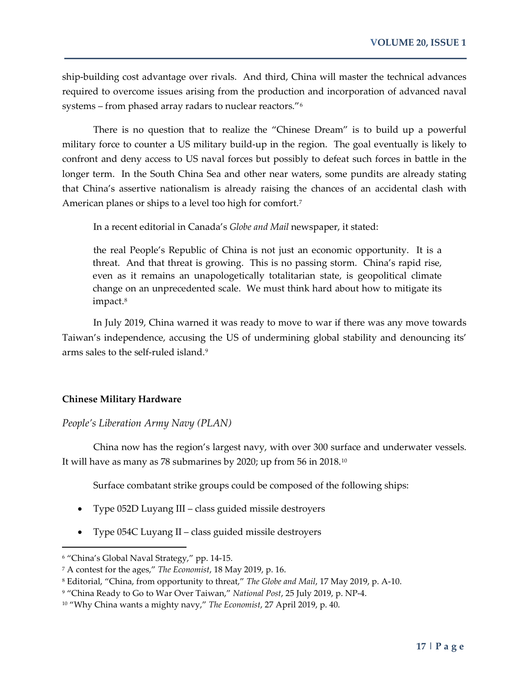ship-building cost advantage over rivals. And third, China will master the technical advances required to overcome issues arising from the production and incorporation of advanced naval systems – from phased array radars to nuclear reactors."[6](#page-2-0)

There is no question that to realize the "Chinese Dream" is to build up a powerful military force to counter a US military build-up in the region. The goal eventually is likely to confront and deny access to US naval forces but possibly to defeat such forces in battle in the longer term. In the South China Sea and other near waters, some pundits are already stating that China's assertive nationalism is already raising the chances of an accidental clash with American planes or ships to a level too high for comfort.<sup>7</sup>

In a recent editorial in Canada's *Globe and Mail* newspaper, it stated:

the real People's Republic of China is not just an economic opportunity. It is a threat. And that threat is growing. This is no passing storm. China's rapid rise, even as it remains an unapologetically totalitarian state, is geopolitical climate change on an unprecedented scale. We must think hard about how to mitigate its impact.<sup>[8](#page-2-2)</sup>

In July 2019, China warned it was ready to move to war if there was any move towards Taiwan's independence, accusing the US of undermining global stability and denouncing its' arms sales to the self-ruled island.[9](#page-2-3)

#### **Chinese Military Hardware**

#### *People's Liberation Army Navy (PLAN)*

China now has the region's largest navy, with over 300 surface and underwater vessels. It will have as many as 78 submarines by 2020; up from 56 in 2018.[10](#page-2-4)

Surface combatant strike groups could be composed of the following ships:

- Type 052D Luyang III class guided missile destroyers
- Type 054C Luyang II class guided missile destroyers

<span id="page-2-0"></span><sup>6</sup> "China's Global Naval Strategy," pp. 14-15.

<span id="page-2-1"></span><sup>7</sup> A contest for the ages," *The Economist*, 18 May 2019, p. 16.

<span id="page-2-2"></span><sup>8</sup> Editorial, "China, from opportunity to threat," *The Globe and Mail*, 17 May 2019, p. A-10.

<span id="page-2-3"></span><sup>9</sup> "China Ready to Go to War Over Taiwan," *National Post*, 25 July 2019, p. NP-4.

<span id="page-2-4"></span><sup>10</sup> "Why China wants a mighty navy," *The Economist*, 27 April 2019, p. 40.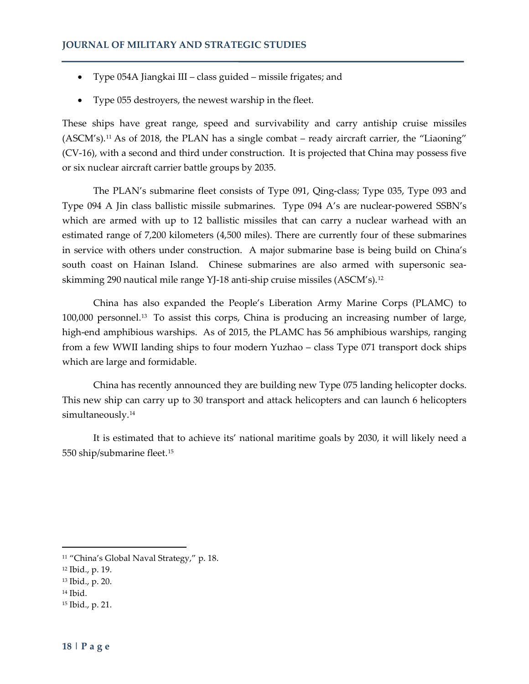- Type 054A Jiangkai III class guided missile frigates; and
- Type 055 destroyers, the newest warship in the fleet.

These ships have great range, speed and survivability and carry antiship cruise missiles (ASCM's).[11](#page-3-0) As of 2018, the PLAN has a single combat – ready aircraft carrier, the "Liaoning" (CV-16), with a second and third under construction. It is projected that China may possess five or six nuclear aircraft carrier battle groups by 2035.

The PLAN's submarine fleet consists of Type 091, Qing-class; Type 035, Type 093 and Type 094 A Jin class ballistic missile submarines. Type 094 A's are nuclear-powered SSBN's which are armed with up to 12 ballistic missiles that can carry a nuclear warhead with an estimated range of 7,200 kilometers (4,500 miles). There are currently four of these submarines in service with others under construction. A major submarine base is being build on China's south coast on Hainan Island. Chinese submarines are also armed with supersonic seaskimming 290 nautical mile range YJ-18 anti-ship cruise missiles (ASCM's).[12](#page-3-1)

China has also expanded the People's Liberation Army Marine Corps (PLAMC) to 100,000 personnel.[13](#page-3-2) To assist this corps, China is producing an increasing number of large, high-end amphibious warships. As of 2015, the PLAMC has 56 amphibious warships, ranging from a few WWII landing ships to four modern Yuzhao – class Type 071 transport dock ships which are large and formidable.

China has recently announced they are building new Type 075 landing helicopter docks. This new ship can carry up to 30 transport and attack helicopters and can launch 6 helicopters simultaneously.<sup>[14](#page-3-3)</sup>

It is estimated that to achieve its' national maritime goals by 2030, it will likely need a 550 ship/submarine fleet.[15](#page-3-4)

- <span id="page-3-1"></span><sup>12</sup> Ibid., p. 19.
- <span id="page-3-2"></span><sup>13</sup> Ibid., p. 20.
- <span id="page-3-3"></span><sup>14</sup> Ibid.

 $\overline{a}$ 

<span id="page-3-4"></span><sup>15</sup> Ibid., p. 21.

<span id="page-3-0"></span><sup>&</sup>lt;sup>11</sup> "China's Global Naval Strategy," p. 18.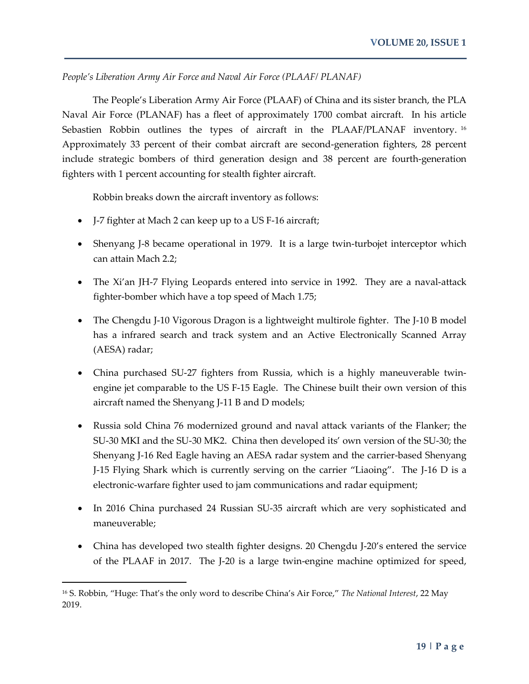*People's Liberation Army Air Force and Naval Air Force (PLAAF/ PLANAF)*

The People's Liberation Army Air Force (PLAAF) of China and its sister branch, the PLA Naval Air Force (PLANAF) has a fleet of approximately 1700 combat aircraft. In his article Sebastien Robbin outlines the types of aircraft in the PLAAF/PLANAF inventory.<sup>[16](#page-4-0)</sup> Approximately 33 percent of their combat aircraft are second-generation fighters, 28 percent include strategic bombers of third generation design and 38 percent are fourth-generation fighters with 1 percent accounting for stealth fighter aircraft.

Robbin breaks down the aircraft inventory as follows:

- J-7 fighter at Mach 2 can keep up to a US F-16 aircraft;
- Shenyang J-8 became operational in 1979. It is a large twin-turbojet interceptor which can attain Mach 2.2;
- The Xi'an JH-7 Flying Leopards entered into service in 1992. They are a naval-attack fighter-bomber which have a top speed of Mach 1.75;
- The Chengdu J-10 Vigorous Dragon is a lightweight multirole fighter. The J-10 B model has a infrared search and track system and an Active Electronically Scanned Array (AESA) radar;
- China purchased SU-27 fighters from Russia, which is a highly maneuverable twinengine jet comparable to the US F-15 Eagle. The Chinese built their own version of this aircraft named the Shenyang J-11 B and D models;
- Russia sold China 76 modernized ground and naval attack variants of the Flanker; the SU-30 MKI and the SU-30 MK2. China then developed its' own version of the SU-30; the Shenyang J-16 Red Eagle having an AESA radar system and the carrier-based Shenyang J-15 Flying Shark which is currently serving on the carrier "Liaoing". The J-16 D is a electronic-warfare fighter used to jam communications and radar equipment;
- In 2016 China purchased 24 Russian SU-35 aircraft which are very sophisticated and maneuverable;
- China has developed two stealth fighter designs. 20 Chengdu J-20's entered the service of the PLAAF in 2017. The J-20 is a large twin-engine machine optimized for speed,

<span id="page-4-0"></span><sup>16</sup> S. Robbin, "Huge: That's the only word to describe China's Air Force," *The National Interest*, 22 May 2019.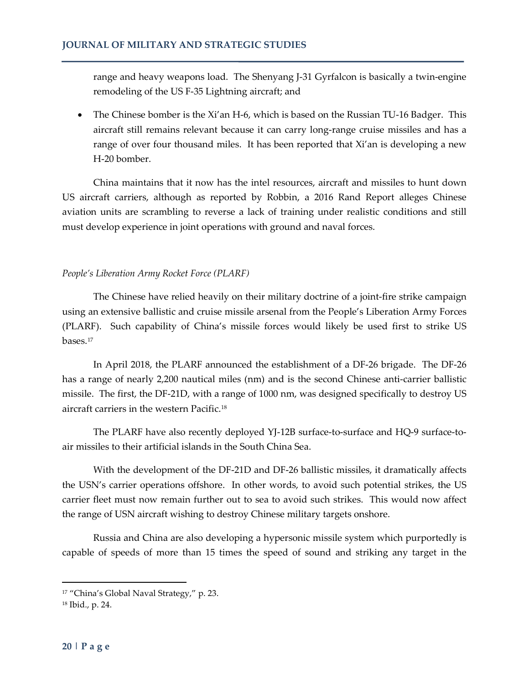range and heavy weapons load. The Shenyang J-31 Gyrfalcon is basically a twin-engine remodeling of the US F-35 Lightning aircraft; and

• The Chinese bomber is the Xi'an H-6, which is based on the Russian TU-16 Badger. This aircraft still remains relevant because it can carry long-range cruise missiles and has a range of over four thousand miles. It has been reported that Xi'an is developing a new H-20 bomber.

China maintains that it now has the intel resources, aircraft and missiles to hunt down US aircraft carriers, although as reported by Robbin, a 2016 Rand Report alleges Chinese aviation units are scrambling to reverse a lack of training under realistic conditions and still must develop experience in joint operations with ground and naval forces.

### *People's Liberation Army Rocket Force (PLARF)*

The Chinese have relied heavily on their military doctrine of a joint-fire strike campaign using an extensive ballistic and cruise missile arsenal from the People's Liberation Army Forces (PLARF). Such capability of China's missile forces would likely be used first to strike US bases[.17](#page-5-0)

In April 2018, the PLARF announced the establishment of a DF-26 brigade. The DF-26 has a range of nearly 2,200 nautical miles (nm) and is the second Chinese anti-carrier ballistic missile. The first, the DF-21D, with a range of 1000 nm, was designed specifically to destroy US aircraft carriers in the western Pacific.[18](#page-5-1)

The PLARF have also recently deployed YJ-12B surface-to-surface and HQ-9 surface-toair missiles to their artificial islands in the South China Sea.

With the development of the DF-21D and DF-26 ballistic missiles, it dramatically affects the USN's carrier operations offshore. In other words, to avoid such potential strikes, the US carrier fleet must now remain further out to sea to avoid such strikes. This would now affect the range of USN aircraft wishing to destroy Chinese military targets onshore.

Russia and China are also developing a hypersonic missile system which purportedly is capable of speeds of more than 15 times the speed of sound and striking any target in the

<span id="page-5-0"></span><sup>&</sup>lt;sup>17</sup> "China's Global Naval Strategy," p. 23.

<span id="page-5-1"></span><sup>18</sup> Ibid., p. 24.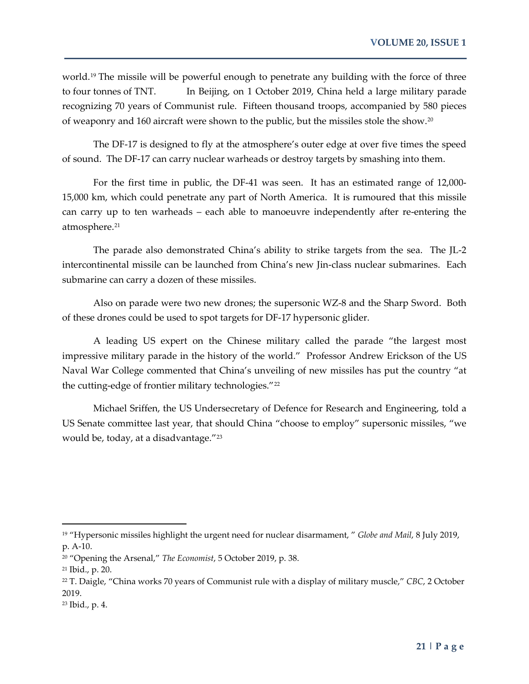world.[19](#page-6-0) The missile will be powerful enough to penetrate any building with the force of three to four tonnes of TNT. In Beijing, on 1 October 2019, China held a large military parade recognizing 70 years of Communist rule. Fifteen thousand troops, accompanied by 580 pieces of weaponry and 160 aircraft were shown to the public, but the missiles stole the show.[20](#page-6-1)

The DF-17 is designed to fly at the atmosphere's outer edge at over five times the speed of sound. The DF-17 can carry nuclear warheads or destroy targets by smashing into them.

For the first time in public, the DF-41 was seen. It has an estimated range of 12,000- 15,000 km, which could penetrate any part of North America. It is rumoured that this missile can carry up to ten warheads – each able to manoeuvre independently after re-entering the atmosphere.<sup>[21](#page-6-2)</sup>

The parade also demonstrated China's ability to strike targets from the sea. The JL-2 intercontinental missile can be launched from China's new Jin-class nuclear submarines. Each submarine can carry a dozen of these missiles.

Also on parade were two new drones; the supersonic WZ-8 and the Sharp Sword. Both of these drones could be used to spot targets for DF-17 hypersonic glider.

A leading US expert on the Chinese military called the parade "the largest most impressive military parade in the history of the world." Professor Andrew Erickson of the US Naval War College commented that China's unveiling of new missiles has put the country "at the cutting-edge of frontier military technologies."<sup>[22](#page-6-3)</sup>

Michael Sriffen, the US Undersecretary of Defence for Research and Engineering, told a US Senate committee last year, that should China "choose to employ" supersonic missiles, "we would be, today, at a disadvantage."[23](#page-6-4)

<span id="page-6-0"></span><sup>19</sup> "Hypersonic missiles highlight the urgent need for nuclear disarmament, " *Globe and Mail*, 8 July 2019, p. A-10.

<span id="page-6-1"></span><sup>20</sup> "Opening the Arsenal," *The Economist*, 5 October 2019, p. 38.

<span id="page-6-2"></span><sup>21</sup> Ibid., p. 20.

<span id="page-6-3"></span><sup>22</sup> T. Daigle, "China works 70 years of Communist rule with a display of military muscle," *CBC*, 2 October 2019.

<span id="page-6-4"></span><sup>23</sup> Ibid., p. 4.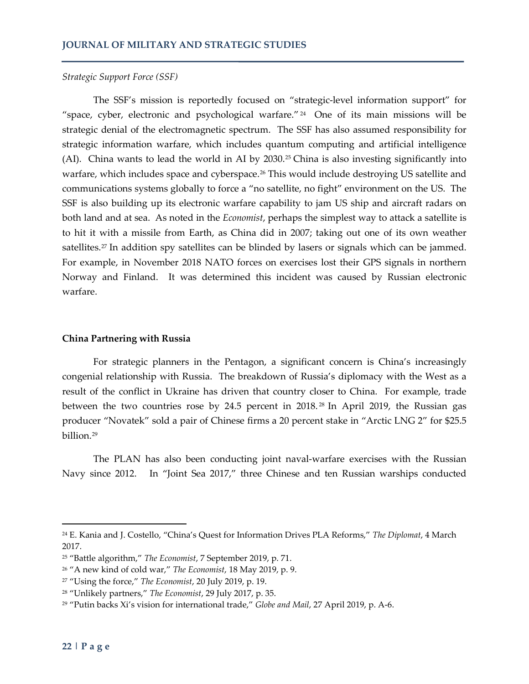#### *Strategic Support Force (SSF)*

The SSF's mission is reportedly focused on "strategic-level information support" for "space, cyber, electronic and psychological warfare." [24](#page-7-0) One of its main missions will be strategic denial of the electromagnetic spectrum. The SSF has also assumed responsibility for strategic information warfare, which includes quantum computing and artificial intelligence (AI). China wants to lead the world in AI by 2030.[25](#page-7-1) China is also investing significantly into warfare, which includes space and cyberspace.<sup>[26](#page-7-2)</sup> This would include destroying US satellite and communications systems globally to force a "no satellite, no fight" environment on the US. The SSF is also building up its electronic warfare capability to jam US ship and aircraft radars on both land and at sea. As noted in the *Economist*, perhaps the simplest way to attack a satellite is to hit it with a missile from Earth, as China did in 2007; taking out one of its own weather satellites.<sup>27</sup> In addition spy satellites can be blinded by lasers or signals which can be jammed. For example, in November 2018 NATO forces on exercises lost their GPS signals in northern Norway and Finland. It was determined this incident was caused by Russian electronic warfare.

#### **China Partnering with Russia**

For strategic planners in the Pentagon, a significant concern is China's increasingly congenial relationship with Russia. The breakdown of Russia's diplomacy with the West as a result of the conflict in Ukraine has driven that country closer to China. For example, trade between the two countries rose by 24.5 percent in 2018. [28](#page-7-4) In April 2019, the Russian gas producer "Novatek" sold a pair of Chinese firms a 20 percent stake in "Arctic LNG 2" for \$25.5 billion.[29](#page-7-5)

The PLAN has also been conducting joint naval-warfare exercises with the Russian Navy since 2012. In "Joint Sea 2017," three Chinese and ten Russian warships conducted

<span id="page-7-0"></span><sup>24</sup> E. Kania and J. Costello, "China's Quest for Information Drives PLA Reforms," *The Diplomat*, 4 March 2017.

<span id="page-7-1"></span><sup>25</sup> "Battle algorithm," *The Economist*, 7 September 2019, p. 71.

<span id="page-7-2"></span><sup>26</sup> "A new kind of cold war," *The Economist*, 18 May 2019, p. 9.

<span id="page-7-3"></span><sup>27</sup> "Using the force," *The Economist*, 20 July 2019, p. 19.

<span id="page-7-4"></span><sup>28</sup> "Unlikely partners," *The Economist*, 29 July 2017, p. 35.

<span id="page-7-5"></span><sup>29</sup> "Putin backs Xi's vision for international trade," *Globe and Mail*, 27 April 2019, p. A-6.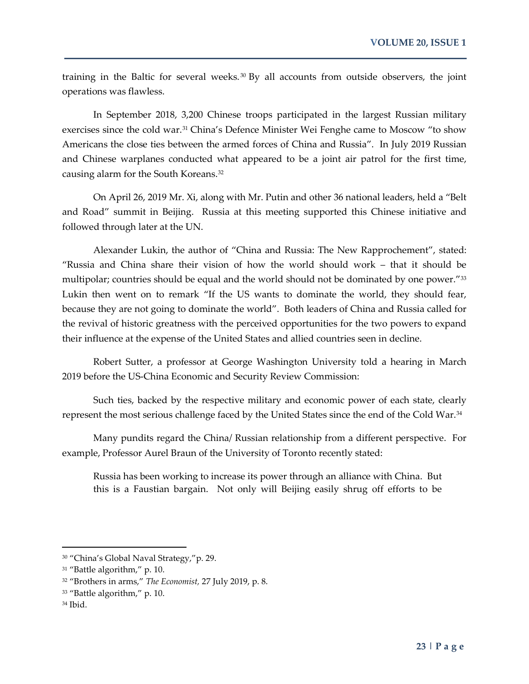training in the Baltic for several weeks. [30](#page-8-0) By all accounts from outside observers, the joint operations was flawless.

In September 2018, 3,200 Chinese troops participated in the largest Russian military exercises since the cold war.[31](#page-8-1) China's Defence Minister Wei Fenghe came to Moscow "to show Americans the close ties between the armed forces of China and Russia". In July 2019 Russian and Chinese warplanes conducted what appeared to be a joint air patrol for the first time, causing alarm for the South Koreans[.32](#page-8-2)

On April 26, 2019 Mr. Xi, along with Mr. Putin and other 36 national leaders, held a "Belt and Road" summit in Beijing. Russia at this meeting supported this Chinese initiative and followed through later at the UN.

Alexander Lukin, the author of "China and Russia: The New Rapprochement", stated: "Russia and China share their vision of how the world should work – that it should be multipolar; countries should be equal and the world should not be dominated by one power."<sup>[33](#page-8-3)</sup> Lukin then went on to remark "If the US wants to dominate the world, they should fear, because they are not going to dominate the world". Both leaders of China and Russia called for the revival of historic greatness with the perceived opportunities for the two powers to expand their influence at the expense of the United States and allied countries seen in decline.

Robert Sutter, a professor at George Washington University told a hearing in March 2019 before the US-China Economic and Security Review Commission:

Such ties, backed by the respective military and economic power of each state, clearly represent the most serious challenge faced by the United States since the end of the Cold War[.34](#page-8-4)

Many pundits regard the China/ Russian relationship from a different perspective. For example, Professor Aurel Braun of the University of Toronto recently stated:

Russia has been working to increase its power through an alliance with China. But this is a Faustian bargain. Not only will Beijing easily shrug off efforts to be

<span id="page-8-0"></span><sup>30</sup> "China's Global Naval Strategy,"p. 29.

<span id="page-8-1"></span><sup>31</sup> "Battle algorithm," p. 10.

<span id="page-8-2"></span><sup>32</sup> "Brothers in arms," *The Economist,* 27 July 2019, p. 8.

<span id="page-8-3"></span><sup>33</sup> "Battle algorithm," p. 10.

<span id="page-8-4"></span><sup>34</sup> Ibid.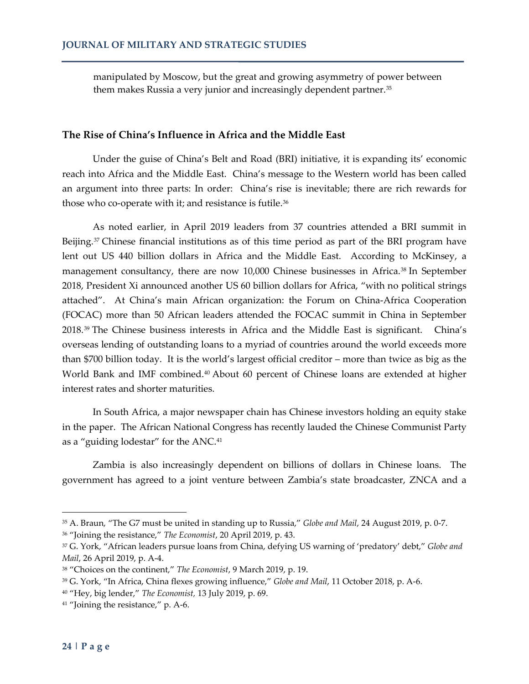manipulated by Moscow, but the great and growing asymmetry of power between them makes Russia a very junior and increasingly dependent partner.<sup>[35](#page-9-0)</sup>

### **The Rise of China's Influence in Africa and the Middle East**

Under the guise of China's Belt and Road (BRI) initiative, it is expanding its' economic reach into Africa and the Middle East. China's message to the Western world has been called an argument into three parts: In order: China's rise is inevitable; there are rich rewards for those who co-operate with it; and resistance is futile.<sup>[36](#page-9-1)</sup>

As noted earlier, in April 2019 leaders from 37 countries attended a BRI summit in Beijing.<sup>[37](#page-9-2)</sup> Chinese financial institutions as of this time period as part of the BRI program have lent out US 440 billion dollars in Africa and the Middle East. According to McKinsey, a management consultancy, there are now 10,000 Chinese businesses in Africa.<sup>[38](#page-9-3)</sup> In September 2018, President Xi announced another US 60 billion dollars for Africa, "with no political strings attached". At China's main African organization: the Forum on China-Africa Cooperation (FOCAC) more than 50 African leaders attended the FOCAC summit in China in September 2018.[39](#page-9-4) The Chinese business interests in Africa and the Middle East is significant. China's overseas lending of outstanding loans to a myriad of countries around the world exceeds more than \$700 billion today. It is the world's largest official creditor – more than twice as big as the World Bank and IMF combined.<sup>[40](#page-9-5)</sup> About 60 percent of Chinese loans are extended at higher interest rates and shorter maturities.

In South Africa, a major newspaper chain has Chinese investors holding an equity stake in the paper. The African National Congress has recently lauded the Chinese Communist Party as a "guiding lodestar" for the ANC.[41](#page-9-6)

Zambia is also increasingly dependent on billions of dollars in Chinese loans. The government has agreed to a joint venture between Zambia's state broadcaster, ZNCA and a

<span id="page-9-1"></span><sup>36</sup> "Joining the resistance," *The Economist*, 20 April 2019, p. 43.

<span id="page-9-0"></span><sup>35</sup> A. Braun, "The G7 must be united in standing up to Russia," *Globe and Mail*, 24 August 2019, p. 0-7.

<span id="page-9-2"></span><sup>37</sup> G. York, "African leaders pursue loans from China, defying US warning of 'predatory' debt," *Globe and Mail*, 26 April 2019, p. A-4.

<span id="page-9-3"></span><sup>38</sup> "Choices on the continent," *The Economist*, 9 March 2019, p. 19.

<span id="page-9-4"></span><sup>39</sup> G. York, "In Africa, China flexes growing influence," *Globe and Mail*, 11 October 2018, p. A-6.

<span id="page-9-5"></span><sup>40</sup> "Hey, big lender," *The Economist,* 13 July 2019, p. 69.

<span id="page-9-6"></span><sup>&</sup>lt;sup>41</sup> "Joining the resistance," p. A-6.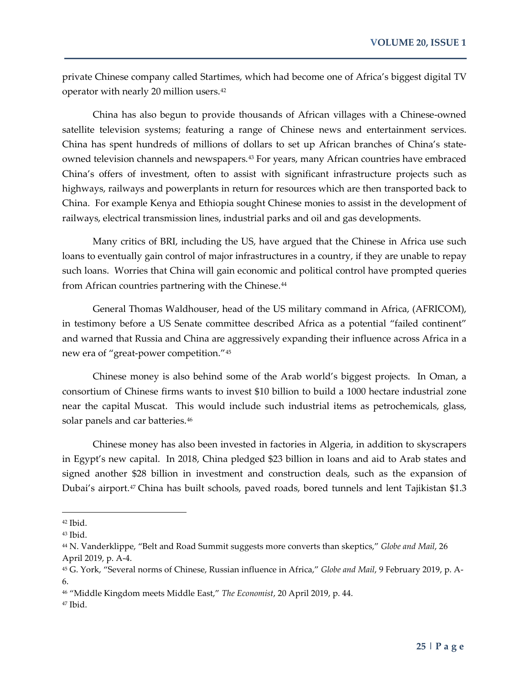private Chinese company called Startimes, which had become one of Africa's biggest digital TV operator with nearly 20 million users.[42](#page-10-0)

China has also begun to provide thousands of African villages with a Chinese-owned satellite television systems; featuring a range of Chinese news and entertainment services. China has spent hundreds of millions of dollars to set up African branches of China's state-owned television channels and newspapers.<sup>[43](#page-10-1)</sup> For years, many African countries have embraced China's offers of investment, often to assist with significant infrastructure projects such as highways, railways and powerplants in return for resources which are then transported back to China. For example Kenya and Ethiopia sought Chinese monies to assist in the development of railways, electrical transmission lines, industrial parks and oil and gas developments.

Many critics of BRI, including the US, have argued that the Chinese in Africa use such loans to eventually gain control of major infrastructures in a country, if they are unable to repay such loans. Worries that China will gain economic and political control have prompted queries from African countries partnering with the Chinese.<sup>44</sup>

General Thomas Waldhouser, head of the US military command in Africa, (AFRICOM), in testimony before a US Senate committee described Africa as a potential "failed continent" and warned that Russia and China are aggressively expanding their influence across Africa in a new era of "great-power competition."[45](#page-10-3)

Chinese money is also behind some of the Arab world's biggest projects. In Oman, a consortium of Chinese firms wants to invest \$10 billion to build a 1000 hectare industrial zone near the capital Muscat. This would include such industrial items as petrochemicals, glass, solar panels and car batteries.<sup>[46](#page-10-4)</sup>

Chinese money has also been invested in factories in Algeria, in addition to skyscrapers in Egypt's new capital. In 2018, China pledged \$23 billion in loans and aid to Arab states and signed another \$28 billion in investment and construction deals, such as the expansion of Dubai's airport.<sup>[47](#page-10-5)</sup> China has built schools, paved roads, bored tunnels and lent Tajikistan \$1.3

<span id="page-10-0"></span> $42$  Ibid.

<span id="page-10-1"></span><sup>43</sup> Ibid.

<span id="page-10-2"></span><sup>44</sup> N. Vanderklippe, "Belt and Road Summit suggests more converts than skeptics," *Globe and Mail*, 26 April 2019, p. A-4.

<span id="page-10-3"></span><sup>45</sup> G. York, "Several norms of Chinese, Russian influence in Africa," *Globe and Mail*, 9 February 2019, p. A-6.

<span id="page-10-4"></span><sup>46</sup> "Middle Kingdom meets Middle East," *The Economist*, 20 April 2019, p. 44.

<span id="page-10-5"></span><sup>47</sup> Ibid.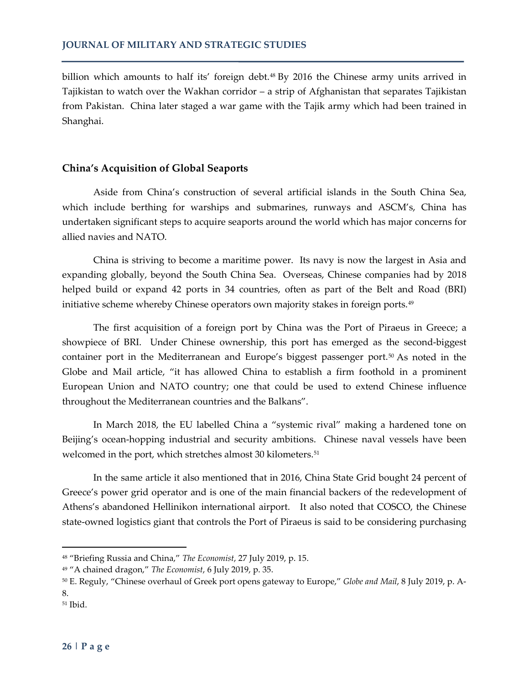billion which amounts to half its' foreign debt.<sup>48</sup> By 2016 the Chinese army units arrived in Tajikistan to watch over the Wakhan corridor – a strip of Afghanistan that separates Tajikistan from Pakistan. China later staged a war game with the Tajik army which had been trained in Shanghai.

## **China's Acquisition of Global Seaports**

Aside from China's construction of several artificial islands in the South China Sea, which include berthing for warships and submarines, runways and ASCM's, China has undertaken significant steps to acquire seaports around the world which has major concerns for allied navies and NATO.

China is striving to become a maritime power. Its navy is now the largest in Asia and expanding globally, beyond the South China Sea. Overseas, Chinese companies had by 2018 helped build or expand 42 ports in 34 countries, often as part of the Belt and Road (BRI) initiative scheme whereby Chinese operators own majority stakes in foreign ports.<sup>[49](#page-11-1)</sup>

The first acquisition of a foreign port by China was the Port of Piraeus in Greece; a showpiece of BRI. Under Chinese ownership, this port has emerged as the second-biggest container port in the Mediterranean and Europe's biggest passenger port.[50](#page-11-2) As noted in the Globe and Mail article, "it has allowed China to establish a firm foothold in a prominent European Union and NATO country; one that could be used to extend Chinese influence throughout the Mediterranean countries and the Balkans".

In March 2018, the EU labelled China a "systemic rival" making a hardened tone on Beijing's ocean-hopping industrial and security ambitions. Chinese naval vessels have been welcomed in the port, which stretches almost 30 kilometers.<sup>51</sup>

In the same article it also mentioned that in 2016, China State Grid bought 24 percent of Greece's power grid operator and is one of the main financial backers of the redevelopment of Athens's abandoned Hellinikon international airport. It also noted that COSCO, the Chinese state-owned logistics giant that controls the Port of Piraeus is said to be considering purchasing

<span id="page-11-0"></span><sup>48</sup> "Briefing Russia and China," *The Economist*, 27 July 2019, p. 15.

<span id="page-11-1"></span><sup>49</sup> "A chained dragon," *The Economist*, 6 July 2019, p. 35.

<span id="page-11-2"></span><sup>50</sup> E. Reguly, "Chinese overhaul of Greek port opens gateway to Europe," *Globe and Mail*, 8 July 2019, p. A-8.

<span id="page-11-3"></span><sup>51</sup> Ibid.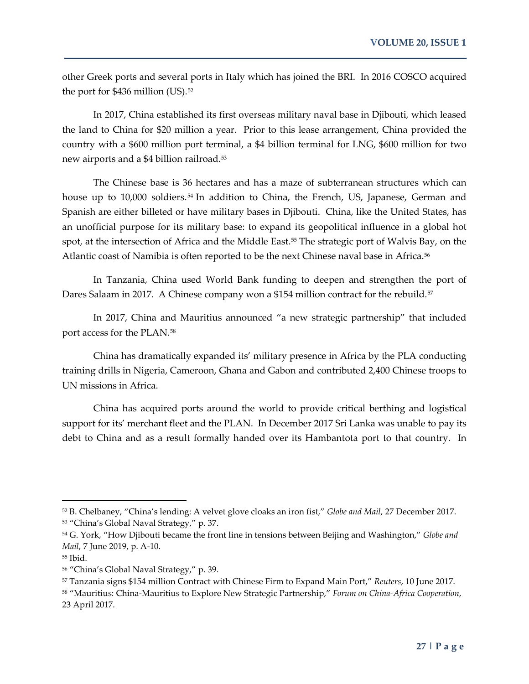other Greek ports and several ports in Italy which has joined the BRI. In 2016 COSCO acquired the port for \$436 million (US).<sup>[52](#page-12-0)</sup>

In 2017, China established its first overseas military naval base in Djibouti, which leased the land to China for \$20 million a year. Prior to this lease arrangement, China provided the country with a \$600 million port terminal, a \$4 billion terminal for LNG, \$600 million for two new airports and a \$4 billion railroad.[53](#page-12-1)

The Chinese base is 36 hectares and has a maze of subterranean structures which can house up to 10,000 soldiers.<sup>[54](#page-12-2)</sup> In addition to China, the French, US, Japanese, German and Spanish are either billeted or have military bases in Djibouti. China, like the United States, has an unofficial purpose for its military base: to expand its geopolitical influence in a global hot spot, at the intersection of Africa and the Middle East.<sup>[55](#page-12-3)</sup> The strategic port of Walvis Bay, on the Atlantic coast of Namibia is often reported to be the next Chinese naval base in Africa.<sup>[56](#page-12-4)</sup>

In Tanzania, China used World Bank funding to deepen and strengthen the port of Dares Salaam in 2017. A Chinese company won a \$154 million contract for the rebuild.<sup>[57](#page-12-5)</sup>

In 2017, China and Mauritius announced "a new strategic partnership" that included port access for the PLAN.[58](#page-12-6)

China has dramatically expanded its' military presence in Africa by the PLA conducting training drills in Nigeria, Cameroon, Ghana and Gabon and contributed 2,400 Chinese troops to UN missions in Africa.

China has acquired ports around the world to provide critical berthing and logistical support for its' merchant fleet and the PLAN. In December 2017 Sri Lanka was unable to pay its debt to China and as a result formally handed over its Hambantota port to that country. In

<span id="page-12-1"></span><span id="page-12-0"></span><sup>52</sup> B. Chelbaney, "China's lending: A velvet glove cloaks an iron fist," *Globe and Mail*, 27 December 2017. <sup>53</sup> "China's Global Naval Strategy," p. 37.

<span id="page-12-2"></span><sup>54</sup> G. York, "How Djibouti became the front line in tensions between Beijing and Washington," *Globe and Mail*, 7 June 2019, p. A-10.

<span id="page-12-3"></span><sup>55</sup> Ibid.

<span id="page-12-4"></span><sup>56</sup> "China's Global Naval Strategy," p. 39.

<span id="page-12-5"></span><sup>57</sup> Tanzania signs \$154 million Contract with Chinese Firm to Expand Main Port," *Reuters*, 10 June 2017.

<span id="page-12-6"></span><sup>58</sup> "Mauritius: China-Mauritius to Explore New Strategic Partnership," *Forum on China-Africa Cooperation*, 23 April 2017.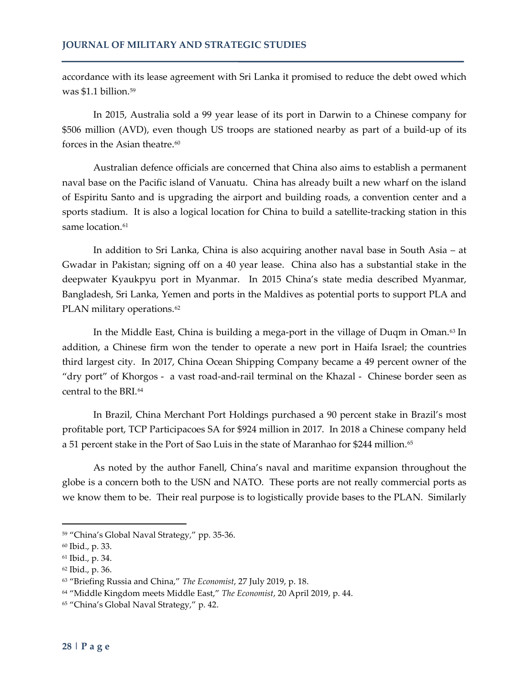accordance with its lease agreement with Sri Lanka it promised to reduce the debt owed which was  $$1.1$  billion.<sup>[59](#page-13-0)</sup>

In 2015, Australia sold a 99 year lease of its port in Darwin to a Chinese company for \$506 million (AVD), even though US troops are stationed nearby as part of a build-up of its forces in the Asian theatre. $60$ 

Australian defence officials are concerned that China also aims to establish a permanent naval base on the Pacific island of Vanuatu. China has already built a new wharf on the island of Espiritu Santo and is upgrading the airport and building roads, a convention center and a sports stadium. It is also a logical location for China to build a satellite-tracking station in this same location.<sup>[61](#page-13-2)</sup>

In addition to Sri Lanka, China is also acquiring another naval base in South Asia – at Gwadar in Pakistan; signing off on a 40 year lease. China also has a substantial stake in the deepwater Kyaukpyu port in Myanmar. In 2015 China's state media described Myanmar, Bangladesh, Sri Lanka, Yemen and ports in the Maldives as potential ports to support PLA and PLAN military operations.<sup>[62](#page-13-3)</sup>

In the Middle East, China is building a mega-port in the village of Duqm in Oman.<sup>[63](#page-13-4)</sup> In addition, a Chinese firm won the tender to operate a new port in Haifa Israel; the countries third largest city. In 2017, China Ocean Shipping Company became a 49 percent owner of the "dry port" of Khorgos - a vast road-and-rail terminal on the Khazal - Chinese border seen as central to the BRI.[64](#page-13-5)

In Brazil, China Merchant Port Holdings purchased a 90 percent stake in Brazil's most profitable port, TCP Participacoes SA for \$924 million in 2017. In 2018 a Chinese company held a 51 percent stake in the Port of Sao Luis in the state of Maranhao for \$244 million.<sup>[65](#page-13-6)</sup>

As noted by the author Fanell, China's naval and maritime expansion throughout the globe is a concern both to the USN and NATO. These ports are not really commercial ports as we know them to be. Their real purpose is to logistically provide bases to the PLAN. Similarly

<span id="page-13-0"></span><sup>59</sup> "China's Global Naval Strategy," pp. 35-36.

<span id="page-13-1"></span><sup>60</sup> Ibid., p. 33.

<span id="page-13-2"></span><sup>61</sup> Ibid., p. 34.

<span id="page-13-3"></span><sup>62</sup> Ibid., p. 36.

<span id="page-13-4"></span><sup>63</sup> "Briefing Russia and China," *The Economist*, 27 July 2019, p. 18.

<span id="page-13-5"></span><sup>64</sup> "Middle Kingdom meets Middle East," *The Economist*, 20 April 2019, p. 44.

<span id="page-13-6"></span><sup>&</sup>lt;sup>65</sup> "China's Global Naval Strategy," p. 42.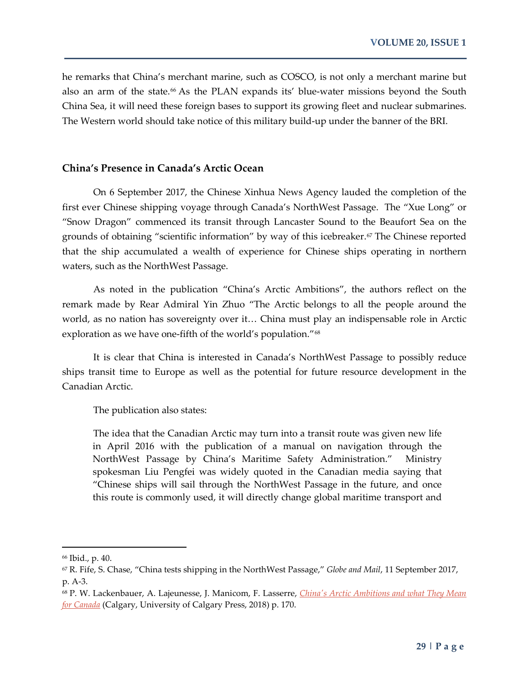he remarks that China's merchant marine, such as COSCO, is not only a merchant marine but also an arm of the state.<sup>[66](#page-14-0)</sup> As the PLAN expands its' blue-water missions beyond the South China Sea, it will need these foreign bases to support its growing fleet and nuclear submarines. The Western world should take notice of this military build-up under the banner of the BRI.

#### **China's Presence in Canada's Arctic Ocean**

On 6 September 2017, the Chinese Xinhua News Agency lauded the completion of the first ever Chinese shipping voyage through Canada's NorthWest Passage. The "Xue Long" or "Snow Dragon" commenced its transit through Lancaster Sound to the Beaufort Sea on the grounds of obtaining "scientific information" by way of this icebreaker.<sup>[67](#page-14-1)</sup> The Chinese reported that the ship accumulated a wealth of experience for Chinese ships operating in northern waters, such as the NorthWest Passage.

As noted in the publication "China's Arctic Ambitions", the authors reflect on the remark made by Rear Admiral Yin Zhuo "The Arctic belongs to all the people around the world, as no nation has sovereignty over it… China must play an indispensable role in Arctic exploration as we have one-fifth of the world's population."<sup>[68](#page-14-2)</sup>

It is clear that China is interested in Canada's NorthWest Passage to possibly reduce ships transit time to Europe as well as the potential for future resource development in the Canadian Arctic.

The publication also states:

The idea that the Canadian Arctic may turn into a transit route was given new life in April 2016 with the publication of a manual on navigation through the NorthWest Passage by China's Maritime Safety Administration." Ministry spokesman Liu Pengfei was widely quoted in the Canadian media saying that "Chinese ships will sail through the NorthWest Passage in the future, and once this route is commonly used, it will directly change global maritime transport and

<span id="page-14-0"></span><sup>66</sup> Ibid., p. 40.

<span id="page-14-1"></span><sup>67</sup> R. Fife, S. Chase, "China tests shipping in the NorthWest Passage," *Globe and Mail*, 11 September 2017, p. A-3.

<span id="page-14-2"></span><sup>68</sup> P. W. Lackenbauer, A. Lajeunesse, J. Manicom, F. Lasserre, *[China's Arctic Ambitions and what They Mean](javascript:void(0))  [for Canada](javascript:void(0))* (Calgary, University of Calgary Press, 2018) p. 170.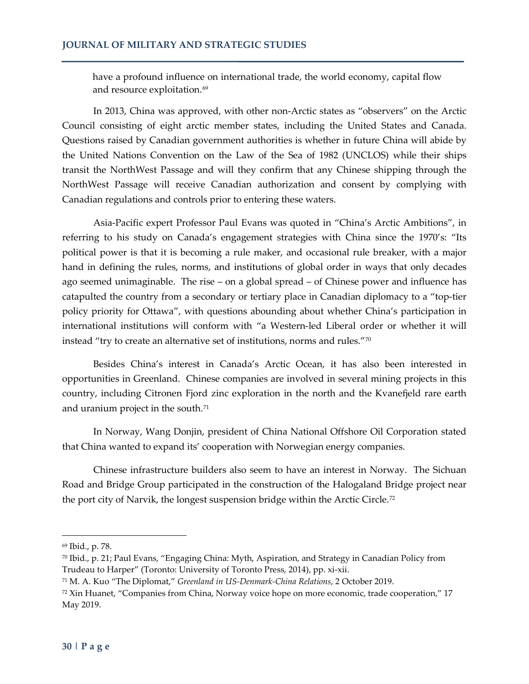have a profound influence on international trade, the world economy, capital flow and resource exploitation.<sup>[69](#page-15-0)</sup>

In 2013, China was approved, with other non-Arctic states as "observers" on the Arctic Council consisting of eight arctic member states, including the United States and Canada. Questions raised by Canadian government authorities is whether in future China will abide by the United Nations Convention on the Law of the Sea of 1982 (UNCLOS) while their ships transit the NorthWest Passage and will they confirm that any Chinese shipping through the NorthWest Passage will receive Canadian authorization and consent by complying with Canadian regulations and controls prior to entering these waters.

Asia-Pacific expert Professor Paul Evans was quoted in "China's Arctic Ambitions", in referring to his study on Canada's engagement strategies with China since the 1970's: "Its political power is that it is becoming a rule maker, and occasional rule breaker, with a major hand in defining the rules, norms, and institutions of global order in ways that only decades ago seemed unimaginable. The rise – on a global spread – of Chinese power and influence has catapulted the country from a secondary or tertiary place in Canadian diplomacy to a "top-tier policy priority for Ottawa", with questions abounding about whether China's participation in international institutions will conform with "a Western-led Liberal order or whether it will instead "try to create an alternative set of institutions, norms and rules."[70](#page-15-1)

Besides China's interest in Canada's Arctic Ocean, it has also been interested in opportunities in Greenland. Chinese companies are involved in several mining projects in this country, including Citronen Fjord zinc exploration in the north and the Kvanefjeld rare earth and uranium project in the south.<sup>[71](#page-15-2)</sup>

In Norway, Wang Donjin, president of China National Offshore Oil Corporation stated that China wanted to expand its' cooperation with Norwegian energy companies.

Chinese infrastructure builders also seem to have an interest in Norway. The Sichuan Road and Bridge Group participated in the construction of the Halogaland Bridge project near the port city of Narvik, the longest suspension bridge within the Arctic Circle.<sup>[72](#page-15-3)</sup>

<span id="page-15-0"></span><sup>69</sup> Ibid., p. 78.

<span id="page-15-1"></span> $70$  Ibid., p. 21; Paul Evans, "Engaging China: Myth, Aspiration, and Strategy in Canadian Policy from Trudeau to Harper" (Toronto: University of Toronto Press, 2014), pp. xi-xii.

<span id="page-15-2"></span><sup>71</sup> M. A. Kuo "The Diplomat," *Greenland in US-Denmark-China Relations*, 2 October 2019.

<span id="page-15-3"></span><sup>72</sup> Xin Huanet, "Companies from China, Norway voice hope on more economic, trade cooperation," 17 May 2019.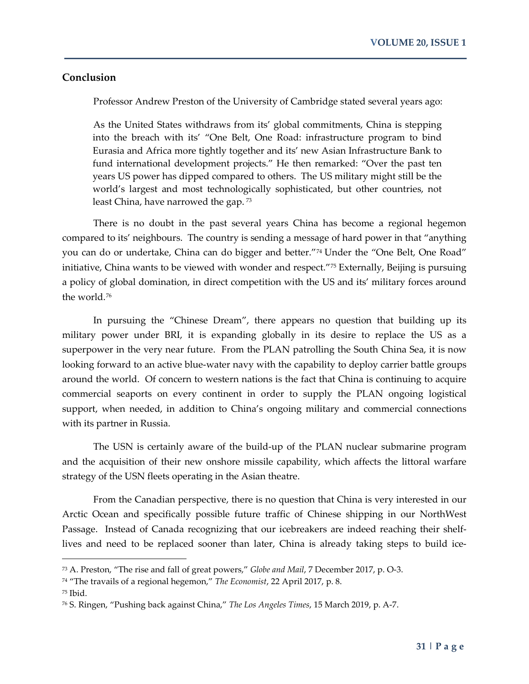#### **Conclusion**

Professor Andrew Preston of the University of Cambridge stated several years ago:

As the United States withdraws from its' global commitments, China is stepping into the breach with its' "One Belt, One Road: infrastructure program to bind Eurasia and Africa more tightly together and its' new Asian Infrastructure Bank to fund international development projects." He then remarked: "Over the past ten years US power has dipped compared to others. The US military might still be the world's largest and most technologically sophisticated, but other countries, not least China, have narrowed the gap. [73](#page-16-0)

There is no doubt in the past several years China has become a regional hegemon compared to its' neighbours. The country is sending a message of hard power in that "anything you can do or undertake, China can do bigger and better.["74](#page-16-1) Under the "One Belt, One Road" initiative, China wants to be viewed with wonder and respect."<sup>[75](#page-16-2)</sup> Externally, Beijing is pursuing a policy of global domination, in direct competition with the US and its' military forces around the world.<sup>[76](#page-16-3)</sup>

In pursuing the "Chinese Dream", there appears no question that building up its military power under BRI, it is expanding globally in its desire to replace the US as a superpower in the very near future. From the PLAN patrolling the South China Sea, it is now looking forward to an active blue-water navy with the capability to deploy carrier battle groups around the world. Of concern to western nations is the fact that China is continuing to acquire commercial seaports on every continent in order to supply the PLAN ongoing logistical support, when needed, in addition to China's ongoing military and commercial connections with its partner in Russia.

The USN is certainly aware of the build-up of the PLAN nuclear submarine program and the acquisition of their new onshore missile capability, which affects the littoral warfare strategy of the USN fleets operating in the Asian theatre.

From the Canadian perspective, there is no question that China is very interested in our Arctic Ocean and specifically possible future traffic of Chinese shipping in our NorthWest Passage. Instead of Canada recognizing that our icebreakers are indeed reaching their shelflives and need to be replaced sooner than later, China is already taking steps to build ice-

<span id="page-16-0"></span><sup>73</sup> A. Preston, "The rise and fall of great powers," *Globe and Mail*, 7 December 2017, p. O-3.

<span id="page-16-1"></span><sup>74</sup> "The travails of a regional hegemon," *The Economist*, 22 April 2017, p. 8.

<span id="page-16-2"></span><sup>75</sup> Ibid.

<span id="page-16-3"></span><sup>76</sup> S. Ringen, "Pushing back against China," *The Los Angeles Times*, 15 March 2019, p. A-7.